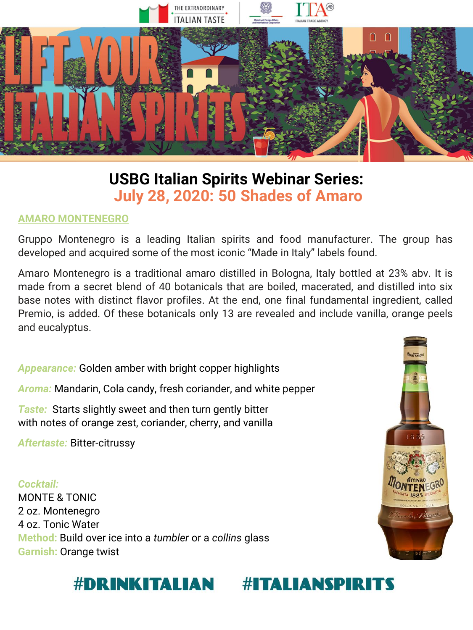

# **USBG Italian Spirits Webinar Series: July 28, 2020: 50 Shades of Amaro**

#### **AMARO MONTENEGRO**

Gruppo Montenegro is a leading Italian spirits and food manufacturer. The group has developed and acquired some of the most iconic "Made in Italy" labels found.

Amaro Montenegro is a traditional amaro distilled in Bologna, Italy bottled at 23% abv. It is made from a secret blend of 40 botanicals that are boiled, macerated, and distilled into six base notes with distinct flavor profiles. At the end, one final fundamental ingredient, called Premio, is added. Of these botanicals only 13 are revealed and include vanilla, orange peels and eucalyptus.

*Appearance:* Golden amber with bright copper highlights

*Aroma:* Mandarin, Cola candy, fresh coriander, and white pepper

*Taste:* Starts slightly sweet and then turn gently bitter with notes of orange zest, coriander, cherry, and vanilla

*Aftertaste:* Bitter-citrussy

*Cocktail:*  MONTE & TONIC 2 oz. Montenegro 4 oz. Tonic Water **Method:** Build over ice into a *tumbler* or a *collins* glass **Garnish:** Orange twist



#### **#DRINKITALIAN ITALIANSPIRITS**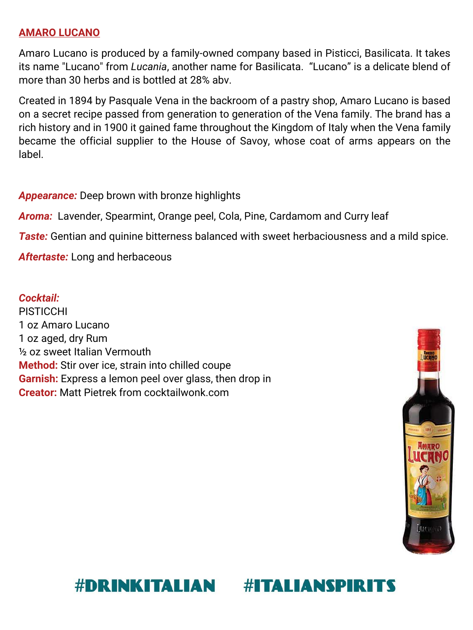### **AMARO LUCANO**

Amaro Lucano is produced by a family-owned company based in Pisticci, Basilicata. It takes its name "Lucano" from *Lucania*, another name for Basilicata. "Lucano" is a delicate blend of more than 30 herbs and is bottled at 28% abv.

Created in 1894 by Pasquale Vena in the backroom of a pastry shop, Amaro Lucano is based on a secret recipe passed from generation to generation of the Vena family. The brand has a rich history and in 1900 it gained fame throughout the Kingdom of Italy when the Vena family became the official supplier to the House of Savoy, whose coat of arms appears on the label.

#### *Appearance:* Deep brown with bronze highlights

*Aroma:* Lavender, Spearmint, Orange peel, Cola, Pine, Cardamom and Curry leaf

**Taste:** Gentian and quinine bitterness balanced with sweet herbaciousness and a mild spice.

*Aftertaste:* Long and herbaceous

#### *Cocktail:*

PISTICCHI 1 oz Amaro Lucano 1 oz aged, dry Rum ½ oz sweet Italian Vermouth **Method:** Stir over ice, strain into chilled coupe **Garnish:** Express a lemon peel over glass, then drop in **Creator:** Matt Pietrek from cocktailwonk.com



#### **#DRINKITALIAN #ITALIANSPIRITS**